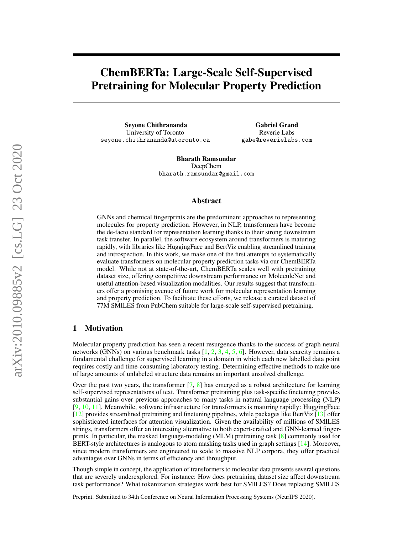# ChemBERTa: Large-Scale Self-Supervised Pretraining for Molecular Property Prediction

Seyone Chithrananda University of Toronto seyone.chithrananda@utoronto.ca

Gabriel Grand Reverie Labs gabe@reverielabs.com

Bharath Ramsundar DeepChem bharath.ramsundar@gmail.com

## Abstract

GNNs and chemical fingerprints are the predominant approaches to representing molecules for property prediction. However, in NLP, transformers have become the de-facto standard for representation learning thanks to their strong downstream task transfer. In parallel, the software ecosystem around transformers is maturing rapidly, with libraries like HuggingFace and BertViz enabling streamlined training and introspection. In this work, we make one of the first attempts to systematically evaluate transformers on molecular property prediction tasks via our ChemBERTa model. While not at state-of-the-art, ChemBERTa scales well with pretraining dataset size, offering competitive downstream performance on MoleculeNet and useful attention-based visualization modalities. Our results suggest that transformers offer a promising avenue of future work for molecular representation learning and property prediction. To facilitate these efforts, we release a curated dataset of 77M SMILES from PubChem suitable for large-scale self-supervised pretraining.

# 1 Motivation

Molecular property prediction has seen a recent resurgence thanks to the success of graph neural networks (GNNs) on various benchmark tasks [\[1,](#page-4-0) [2,](#page-4-1) [3,](#page-4-2) [4,](#page-4-3) [5,](#page-4-4) [6\]](#page-4-5). However, data scarcity remains a fundamental challenge for supervised learning in a domain in which each new labelled data point requires costly and time-consuming laboratory testing. Determining effective methods to make use of large amounts of unlabeled structure data remains an important unsolved challenge.

Over the past two years, the transformer  $[7, 8]$  $[7, 8]$  $[7, 8]$  has emerged as a robust architecture for learning self-supervised representations of text. Transformer pretraining plus task-specific finetuning provides substantial gains over previous approaches to many tasks in natural language processing (NLP) [\[9,](#page-5-2) [10,](#page-5-3) [11\]](#page-5-4). Meanwhile, software infrastructure for transformers is maturing rapidly: HuggingFace [\[12\]](#page-5-5) provides streamlined pretraining and finetuning pipelines, while packages like BertViz [\[13\]](#page-5-6) offer sophisticated interfaces for attention visualization. Given the availability of millions of SMILES strings, transformers offer an interesting alternative to both expert-crafted and GNN-learned fingerprints. In particular, the masked language-modeling (MLM) pretraining task [\[8\]](#page-5-1) commonly used for BERT-style architectures is analogous to atom masking tasks used in graph settings [\[14\]](#page-5-7). Moreover, since modern transformers are engineered to scale to massive NLP corpora, they offer practical advantages over GNNs in terms of efficiency and throughput.

Though simple in concept, the application of transformers to molecular data presents several questions that are severely underexplored. For instance: How does pretraining dataset size affect downstream task performance? What tokenization strategies work best for SMILES? Does replacing SMILES

Preprint. Submitted to 34th Conference on Neural Information Processing Systems (NeurIPS 2020).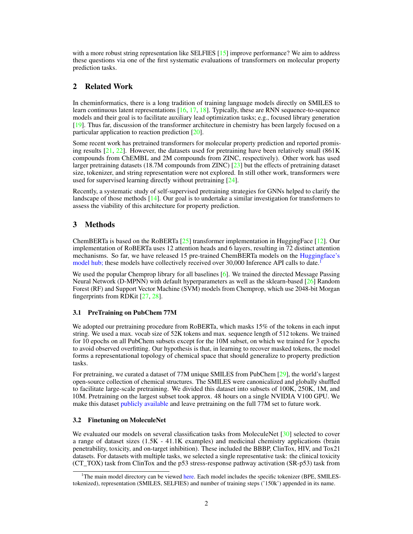with a more robust string representation like SELFIES [\[15\]](#page-5-8) improve performance? We aim to address these questions via one of the first systematic evaluations of transformers on molecular property prediction tasks.

# 2 Related Work

In cheminformatics, there is a long tradition of training language models directly on SMILES to learn continuous latent representations [\[16,](#page-5-9) [17,](#page-5-10) [18\]](#page-5-11). Typically, these are RNN sequence-to-sequence models and their goal is to facilitate auxiliary lead optimization tasks; e.g., focused library generation [\[19\]](#page-5-12). Thus far, discussion of the transformer architecture in chemistry has been largely focused on a particular application to reaction prediction [\[20\]](#page-5-13).

Some recent work has pretrained transformers for molecular property prediction and reported promising results  $[21, 22]$  $[21, 22]$  $[21, 22]$ . However, the datasets used for pretraining have been relatively small  $(861K)$ compounds from ChEMBL and 2M compounds from ZINC, respectively). Other work has used larger pretraining datasets (18.7M compounds from ZINC)  $[23]$  but the effects of pretraining dataset size, tokenizer, and string representation were not explored. In still other work, transformers were used for supervised learning directly without pretraining [\[24\]](#page-6-0).

Recently, a systematic study of self-supervised pretraining strategies for GNNs helped to clarify the landscape of those methods [\[14\]](#page-5-7). Our goal is to undertake a similar investigation for transformers to assess the viability of this architecture for property prediction.

# 3 Methods

ChemBERTa is based on the RoBERTa [\[25\]](#page-6-1) transformer implementation in HuggingFace [\[12\]](#page-5-5). Our implementation of RoBERTa uses 12 attention heads and 6 layers, resulting in 72 distinct attention mechanisms. So far, we have released 15 pre-trained ChemBERTa models on the [Huggingface's](https://huggingface.co/seyonec/ChemBERTa-zinc-base-v1) [model hub;](https://huggingface.co/seyonec/ChemBERTa-zinc-base-v1) these models have collectively received over 30,000 Inference API calls to date.<sup>[1](#page-1-0)</sup>

We used the popular Chemprop library for all baselines [\[6\]](#page-4-5). We trained the directed Message Passing Neural Network (D-MPNN) with default hyperparameters as well as the sklearn-based  $[26]$  Random Forest (RF) and Support Vector Machine (SVM) models from Chemprop, which use 2048-bit Morgan fingerprints from RDKit [\[27,](#page-6-3) [28\]](#page-6-4).

# 3.1 PreTraining on PubChem 77M

We adopted our pretraining procedure from RoBERTa, which masks 15% of the tokens in each input string. We used a max. vocab size of 52K tokens and max. sequence length of 512 tokens. We trained for 10 epochs on all PubChem subsets except for the 10M subset, on which we trained for 3 epochs to avoid observed overfitting. Our hypothesis is that, in learning to recover masked tokens, the model forms a representational topology of chemical space that should generalize to property prediction tasks.

For pretraining, we curated a dataset of 77M unique SMILES from PubChem [\[29\]](#page-6-5), the world's largest open-source collection of chemical structures. The SMILES were canonicalized and globally shuffled to facilitate large-scale pretraining. We divided this dataset into subsets of 100K, 250K, 1M, and 10M. Pretraining on the largest subset took approx. 48 hours on a single NVIDIA V100 GPU. We make this dataset [publicly available](https://deepchemdata.s3-us-west-1.amazonaws.com/datasets/pubchem_10m.txt.zip) and leave pretraining on the full 77M set to future work.

# 3.2 Finetuning on MoleculeNet

We evaluated our models on several classification tasks from MoleculeNet [\[30\]](#page-6-6) selected to cover a range of dataset sizes (1.5K - 41.1K examples) and medicinal chemistry applications (brain penetrability, toxicity, and on-target inhibition). These included the BBBP, ClinTox, HIV, and Tox21 datasets. For datasets with multiple tasks, we selected a single representative task: the clinical toxicity (CT\_TOX) task from ClinTox and the p53 stress-response pathway activation (SR-p53) task from

<span id="page-1-0"></span><sup>&</sup>lt;sup>1</sup>The main model directory can be viewed [here.](https://huggingface.co/seyonec) Each model includes the specific tokenizer (BPE, SMILEStokenized), representation (SMILES, SELFIES) and number of training steps ('150k') appended in its name.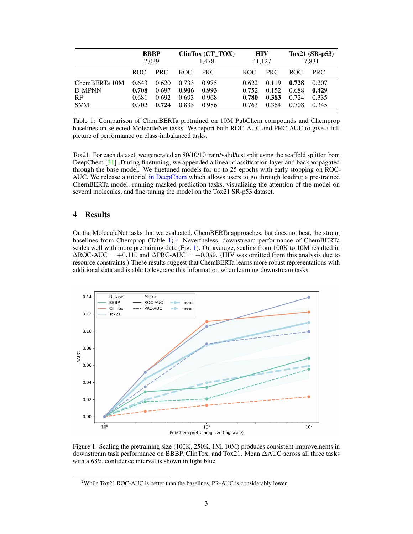<span id="page-2-0"></span>

|               | <b>BBBP</b> |       | ClinTox (CT_TOX) |            | <b>HIV</b> |       | Tox21 $(SR-p53)$ |            |
|---------------|-------------|-------|------------------|------------|------------|-------|------------------|------------|
|               | 2,039       |       | 1.478            |            | 41.127     |       | 7,831            |            |
|               | ROC.        | PRC   | <b>ROC</b>       | <b>PRC</b> | ROC.       | PRC   | ROC –            | <b>PRC</b> |
| ChemBERTa 10M | 0.643       | 0.620 | 0.733            | 0.975      | 0.622      | 0.119 | 0.728            | 0.207      |
| D-MPNN        | 0.708       | 0.697 | 0.906            | 0.993      | 0.752      | 0.152 | 0.688            | 0.429      |
| <b>RF</b>     | 0.681       | 0.692 | 0.693            | 0.968      | 0.780      | 0.383 | 0.724            | 0.335      |
| <b>SVM</b>    | 0.702       | 0.724 | 0.833            | 0.986      | 0.763      | 0.364 | 0.708            | 0.345      |

Table 1: Comparison of ChemBERTa pretrained on 10M PubChem compounds and Chemprop baselines on selected MoleculeNet tasks. We report both ROC-AUC and PRC-AUC to give a full picture of performance on class-imbalanced tasks.

Tox21. For each dataset, we generated an 80/10/10 train/valid/test split using the scaffold splitter from DeepChem [\[31\]](#page-6-7). During finetuning, we appended a linear classification layer and backpropagated through the base model. We finetuned models for up to 25 epochs with early stopping on ROC-AUC. We release a tutorial [in DeepChem](https://github.com/deepchem/deepchem/blob/master/examples/tutorials/22_Transfer_Learning_With_HuggingFace_tox21.ipynb) which allows users to go through loading a pre-trained ChemBERTa model, running masked prediction tasks, visualizing the attention of the model on several molecules, and fine-tuning the model on the Tox21 SR-p53 dataset.

#### 4 Results

On the MoleculeNet tasks that we evaluated, ChemBERTa approaches, but does not beat, the strong baselines from Chemprop (Table [1\)](#page-2-0).<sup>[2](#page-2-1)</sup> Nevertheless, downstream performance of ChemBERTa scales well with more pretraining data (Fig. [1\)](#page-2-2). On average, scaling from 100K to 10M resulted in  $\Delta$ ROC-AUC = +0.110 and  $\Delta$ PRC-AUC = +0.059. (HIV was omitted from this analysis due to resource constraints.) These results suggest that ChemBERTa learns more robust representations with additional data and is able to leverage this information when learning downstream tasks.

<span id="page-2-2"></span>

Figure 1: Scaling the pretraining size (100K, 250K, 1M, 10M) produces consistent improvements in downstream task performance on BBBP, ClinTox, and Tox21. Mean ∆AUC across all three tasks with a 68% confidence interval is shown in light blue.

<span id="page-2-1"></span><sup>&</sup>lt;sup>2</sup>While Tox21 ROC-AUC is better than the baselines, PR-AUC is considerably lower.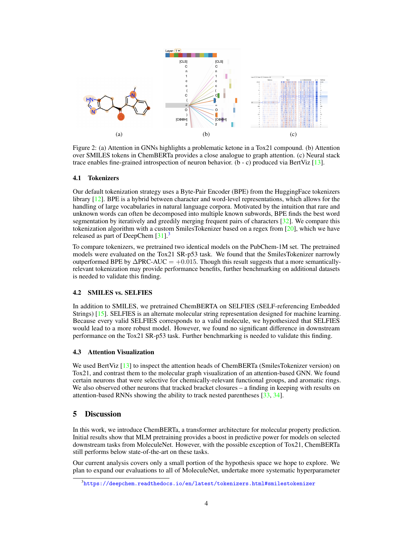

Figure 2: (a) Attention in GNNs highlights a problematic ketone in a Tox21 compound. (b) Attention over SMILES tokens in ChemBERTa provides a close analogue to graph attention. (c) Neural stack trace enables fine-grained introspection of neuron behavior. (b - c) produced via BertViz [\[13\]](#page-5-6).

#### 4.1 Tokenizers

Our default tokenization strategy uses a Byte-Pair Encoder (BPE) from the HuggingFace tokenizers library [\[12\]](#page-5-5). BPE is a hybrid between character and word-level representations, which allows for the handling of large vocabularies in natural language corpora. Motivated by the intuition that rare and unknown words can often be decomposed into multiple known subwords, BPE finds the best word segmentation by iteratively and greedily merging frequent pairs of characters [\[32\]](#page-6-8). We compare this tokenization algorithm with a custom SmilesTokenizer based on a regex from  $[20]$ , which we have released as part of DeepChem  $[31]$ .<sup>[3](#page-3-0)</sup>

To compare tokenizers, we pretrained two identical models on the PubChem-1M set. The pretrained models were evaluated on the Tox21 SR-p53 task. We found that the SmilesTokenizer narrowly outperformed BPE by  $\triangle$ PRC-AUC = +0.015. Though this result suggests that a more semanticallyrelevant tokenization may provide performance benefits, further benchmarking on additional datasets is needed to validate this finding.

## 4.2 SMILES vs. SELFIES

In addition to SMILES, we pretrained ChemBERTA on SELFIES (SELF-referencing Embedded Strings) [\[15\]](#page-5-8). SELFIES is an alternate molecular string representation designed for machine learning. Because every valid SELFIES corresponds to a valid molecule, we hypothesized that SELFIES would lead to a more robust model. However, we found no significant difference in downstream performance on the Tox21 SR-p53 task. Further benchmarking is needed to validate this finding.

#### 4.3 Attention Visualization

We used BertViz [\[13\]](#page-5-6) to inspect the attention heads of ChemBERTa (SmilesTokenizer version) on Tox21, and contrast them to the molecular graph visualization of an attention-based GNN. We found certain neurons that were selective for chemically-relevant functional groups, and aromatic rings. We also observed other neurons that tracked bracket closures – a finding in keeping with results on attention-based RNNs showing the ability to track nested parentheses [\[33,](#page-6-9) [34\]](#page-6-10).

# 5 Discussion

In this work, we introduce ChemBERTa, a transformer architecture for molecular property prediction. Initial results show that MLM pretraining provides a boost in predictive power for models on selected downstream tasks from MoleculeNet. However, with the possible exception of Tox21, ChemBERTa still performs below state-of-the-art on these tasks.

Our current analysis covers only a small portion of the hypothesis space we hope to explore. We plan to expand our evaluations to all of MoleculeNet, undertake more systematic hyperparameter

<span id="page-3-0"></span> $^3$ <https://deepchem.readthedocs.io/en/latest/tokenizers.html#smilestokenizer>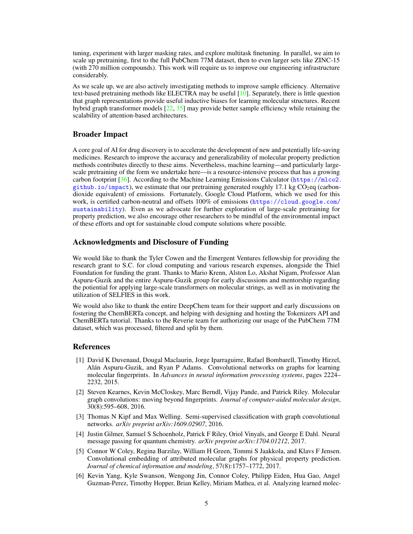tuning, experiment with larger masking rates, and explore multitask finetuning. In parallel, we aim to scale up pretraining, first to the full PubChem 77M dataset, then to even larger sets like ZINC-15 (with 270 million compounds). This work will require us to improve our engineering infrastructure considerably.

As we scale up, we are also actively investigating methods to improve sample efficiency. Alternative text-based pretraining methods like ELECTRA may be useful [\[10\]](#page-5-3). Separately, there is little question that graph representations provide useful inductive biases for learning molecular structures. Recent hybrid graph transformer models [\[22,](#page-5-15) [35\]](#page-6-11) may provide better sample efficiency while retaining the scalability of attention-based architectures.

# Broader Impact

A core goal of AI for drug discovery is to accelerate the development of new and potentially life-saving medicines. Research to improve the accuracy and generalizability of molecular property prediction methods contributes directly to these aims. Nevertheless, machine learning—and particularly largescale pretraining of the form we undertake here—is a resource-intensive process that has a growing carbon footprint  $[36]$ . According to the Machine Learning Emissions Calculator ([https://mlco2.](https://mlco2.github.io/impact)  $g$ ithub.io/impact), we estimate that our pretraining generated roughly 17.1 kg CO<sub>2</sub>eq (carbondioxide equivalent) of emissions. Fortunately, Google Cloud Platform, which we used for this work, is certified carbon-neutral and offsets 100% of emissions ([https://cloud.google.com/](https://cloud.google.com/sustainability) [sustainability](https://cloud.google.com/sustainability)). Even as we advocate for further exploration of large-scale pretraining for property prediction, we also encourage other researchers to be mindful of the environmental impact of these efforts and opt for sustainable cloud compute solutions where possible.

# Acknowledgments and Disclosure of Funding

We would like to thank the Tyler Cowen and the Emergent Ventures fellowship for providing the research grant to S.C. for cloud computing and various research expenses, alongside the Thiel Foundation for funding the grant. Thanks to Mario Krenn, Alston Lo, Akshat Nigam, Professor Alan Aspuru-Guzik and the entire Aspuru-Guzik group for early discussions and mentorship regarding the potiential for applying large-scale transformers on molecular strings, as well as in motivating the utilization of SELFIES in this work.

We would also like to thank the entire DeepChem team for their support and early discussions on fostering the ChemBERTa concept, and helping with designing and hosting the Tokenizers API and ChemBERTa tutorial. Thanks to the Reverie team for authorizing our usage of the PubChem 77M dataset, which was processed, filtered and split by them.

#### References

- <span id="page-4-0"></span>[1] David K Duvenaud, Dougal Maclaurin, Jorge Iparraguirre, Rafael Bombarell, Timothy Hirzel, Alán Aspuru-Guzik, and Ryan P Adams. Convolutional networks on graphs for learning molecular fingerprints. In *Advances in neural information processing systems*, pages 2224– 2232, 2015.
- <span id="page-4-1"></span>[2] Steven Kearnes, Kevin McCloskey, Marc Berndl, Vijay Pande, and Patrick Riley. Molecular graph convolutions: moving beyond fingerprints. *Journal of computer-aided molecular design*, 30(8):595–608, 2016.
- <span id="page-4-2"></span>[3] Thomas N Kipf and Max Welling. Semi-supervised classification with graph convolutional networks. *arXiv preprint arXiv:1609.02907*, 2016.
- <span id="page-4-3"></span>[4] Justin Gilmer, Samuel S Schoenholz, Patrick F Riley, Oriol Vinyals, and George E Dahl. Neural message passing for quantum chemistry. *arXiv preprint arXiv:1704.01212*, 2017.
- <span id="page-4-4"></span>[5] Connor W Coley, Regina Barzilay, William H Green, Tommi S Jaakkola, and Klavs F Jensen. Convolutional embedding of attributed molecular graphs for physical property prediction. *Journal of chemical information and modeling*, 57(8):1757–1772, 2017.
- <span id="page-4-5"></span>[6] Kevin Yang, Kyle Swanson, Wengong Jin, Connor Coley, Philipp Eiden, Hua Gao, Angel Guzman-Perez, Timothy Hopper, Brian Kelley, Miriam Mathea, et al. Analyzing learned molec-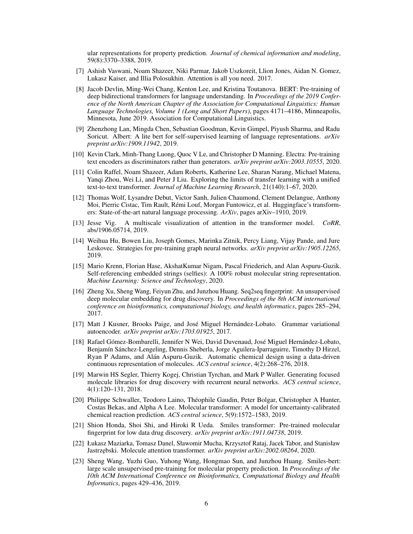ular representations for property prediction. *Journal of chemical information and modeling*, 59(8):3370–3388, 2019.

- <span id="page-5-0"></span>[7] Ashish Vaswani, Noam Shazeer, Niki Parmar, Jakob Uszkoreit, Llion Jones, Aidan N. Gomez, Lukasz Kaiser, and Illia Polosukhin. Attention is all you need. 2017.
- <span id="page-5-1"></span>[8] Jacob Devlin, Ming-Wei Chang, Kenton Lee, and Kristina Toutanova. BERT: Pre-training of deep bidirectional transformers for language understanding. In *Proceedings of the 2019 Conference of the North American Chapter of the Association for Computational Linguistics: Human Language Technologies, Volume 1 (Long and Short Papers)*, pages 4171–4186, Minneapolis, Minnesota, June 2019. Association for Computational Linguistics.
- <span id="page-5-2"></span>[9] Zhenzhong Lan, Mingda Chen, Sebastian Goodman, Kevin Gimpel, Piyush Sharma, and Radu Soricut. Albert: A lite bert for self-supervised learning of language representations. *arXiv preprint arXiv:1909.11942*, 2019.
- <span id="page-5-3"></span>[10] Kevin Clark, Minh-Thang Luong, Quoc V Le, and Christopher D Manning. Electra: Pre-training text encoders as discriminators rather than generators. *arXiv preprint arXiv:2003.10555*, 2020.
- <span id="page-5-4"></span>[11] Colin Raffel, Noam Shazeer, Adam Roberts, Katherine Lee, Sharan Narang, Michael Matena, Yanqi Zhou, Wei Li, and Peter J Liu. Exploring the limits of transfer learning with a unified text-to-text transformer. *Journal of Machine Learning Research*, 21(140):1–67, 2020.
- <span id="page-5-5"></span>[12] Thomas Wolf, Lysandre Debut, Victor Sanh, Julien Chaumond, Clement Delangue, Anthony Moi, Pierric Cistac, Tim Rault, Rémi Louf, Morgan Funtowicz, et al. Huggingface's transformers: State-of-the-art natural language processing. *ArXiv*, pages arXiv–1910, 2019.
- <span id="page-5-6"></span>[13] Jesse Vig. A multiscale visualization of attention in the transformer model. *CoRR*, abs/1906.05714, 2019.
- <span id="page-5-7"></span>[14] Weihua Hu, Bowen Liu, Joseph Gomes, Marinka Zitnik, Percy Liang, Vijay Pande, and Jure Leskovec. Strategies for pre-training graph neural networks. *arXiv preprint arXiv:1905.12265*, 2019.
- <span id="page-5-8"></span>[15] Mario Krenn, Florian Hase, AkshatKumar Nigam, Pascal Friederich, and Alan Aspuru-Guzik. Self-referencing embedded strings (selfies): A 100% robust molecular string representation. *Machine Learning: Science and Technology*, 2020.
- <span id="page-5-9"></span>[16] Zheng Xu, Sheng Wang, Feiyun Zhu, and Junzhou Huang. Seq2seq fingerprint: An unsupervised deep molecular embedding for drug discovery. In *Proceedings of the 8th ACM international conference on bioinformatics, computational biology, and health informatics*, pages 285–294, 2017.
- <span id="page-5-10"></span>[17] Matt J Kusner, Brooks Paige, and José Miguel Hernández-Lobato. Grammar variational autoencoder. *arXiv preprint arXiv:1703.01925*, 2017.
- <span id="page-5-11"></span>[18] Rafael Gómez-Bombarelli, Jennifer N Wei, David Duvenaud, José Miguel Hernández-Lobato, Benjamín Sánchez-Lengeling, Dennis Sheberla, Jorge Aguilera-Iparraguirre, Timothy D Hirzel, Ryan P Adams, and Alán Aspuru-Guzik. Automatic chemical design using a data-driven continuous representation of molecules. *ACS central science*, 4(2):268–276, 2018.
- <span id="page-5-12"></span>[19] Marwin HS Segler, Thierry Kogej, Christian Tyrchan, and Mark P Waller. Generating focused molecule libraries for drug discovery with recurrent neural networks. *ACS central science*, 4(1):120–131, 2018.
- <span id="page-5-13"></span>[20] Philippe Schwaller, Teodoro Laino, Théophile Gaudin, Peter Bolgar, Christopher A Hunter, Costas Bekas, and Alpha A Lee. Molecular transformer: A model for uncertainty-calibrated chemical reaction prediction. *ACS central science*, 5(9):1572–1583, 2019.
- <span id="page-5-14"></span>[21] Shion Honda, Shoi Shi, and Hiroki R Ueda. Smiles transformer: Pre-trained molecular fingerprint for low data drug discovery. *arXiv preprint arXiv:1911.04738*, 2019.
- <span id="page-5-15"></span>[22] Łukasz Maziarka, Tomasz Danel, Sławomir Mucha, Krzysztof Rataj, Jacek Tabor, and Stanisław Jastrz˛ebski. Molecule attention transformer. *arXiv preprint arXiv:2002.08264*, 2020.
- <span id="page-5-16"></span>[23] Sheng Wang, Yuzhi Guo, Yuhong Wang, Hongmao Sun, and Junzhou Huang. Smiles-bert: large scale unsupervised pre-training for molecular property prediction. In *Proceedings of the 10th ACM International Conference on Bioinformatics, Computational Biology and Health Informatics*, pages 429–436, 2019.